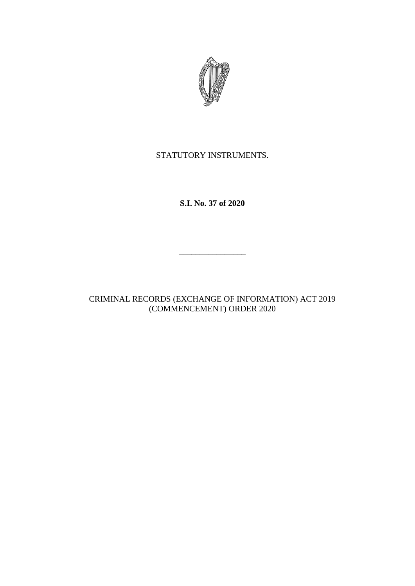

## STATUTORY INSTRUMENTS.

**S.I. No. 37 of 2020**

\_\_\_\_\_\_\_\_\_\_\_\_\_\_\_\_

CRIMINAL RECORDS (EXCHANGE OF INFORMATION) ACT 2019 (COMMENCEMENT) ORDER 2020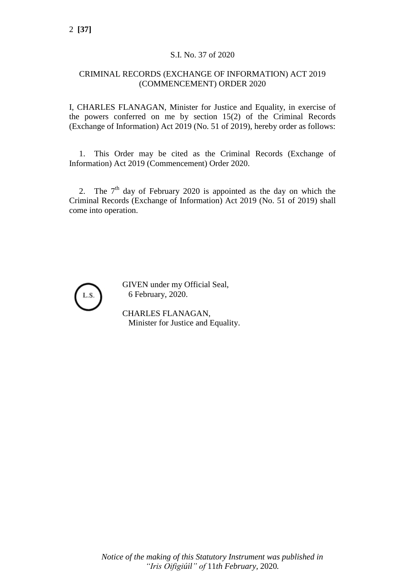#### S.I. No. 37 of 2020

#### CRIMINAL RECORDS (EXCHANGE OF INFORMATION) ACT 2019 (COMMENCEMENT) ORDER 2020

I, CHARLES FLANAGAN, Minister for Justice and Equality, in exercise of the powers conferred on me by section 15(2) of the Criminal Records (Exchange of Information) Act 2019 (No. 51 of 2019), hereby order as follows:

1. This Order may be cited as the Criminal Records (Exchange of Information) Act 2019 (Commencement) Order 2020.

2. The  $7<sup>th</sup>$  day of February 2020 is appointed as the day on which the Criminal Records (Exchange of Information) Act 2019 (No. 51 of 2019) shall come into operation.



GIVEN under my Official Seal, 6 February, 2020.

CHARLES FLANAGAN, Minister for Justice and Equality.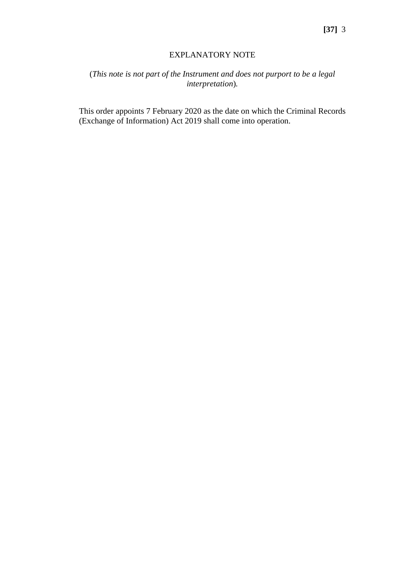### EXPLANATORY NOTE

# (*This note is not part of the Instrument and does not purport to be a legal interpretation*)*.*

This order appoints 7 February 2020 as the date on which the Criminal Records (Exchange of Information) Act 2019 shall come into operation.